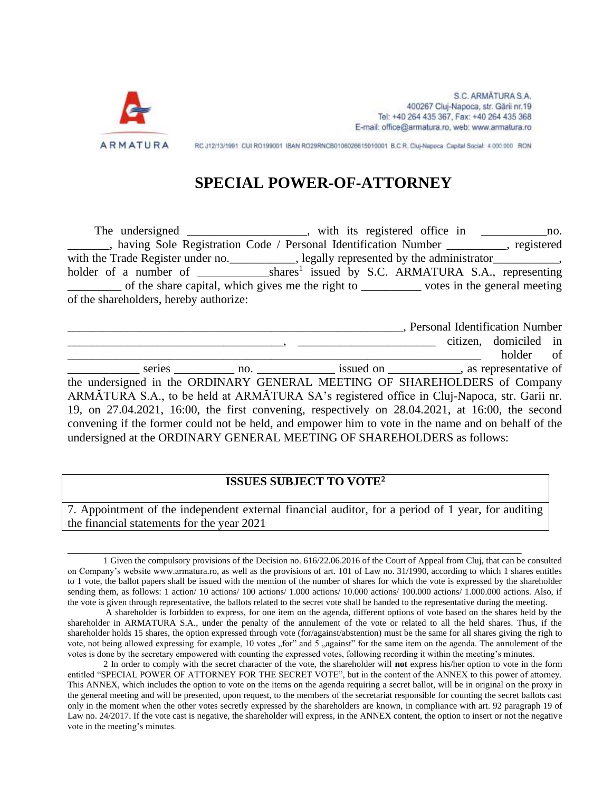

S.C. ARMĀTURA S.A. 400267 Cluj-Napoca, str. Gării nr.19 Tel: +40 264 435 367, Fax: +40 264 435 368 E-mail: office@armatura.ro, web; www.armatura.ro

RC J12/13/1991 CUI RO199001 IBAN RO29RNCB0106026615010001 B.C.R. Cluj-Napoca Capital Social: 4.000.000 RON

# **SPECIAL POWER-OF-ATTORNEY**

The undersigned \_\_\_\_\_\_\_\_\_\_\_\_\_\_\_\_, with its registered office in \_\_\_\_\_\_\_\_\_\_\_\_\_\_no. \_\_\_\_\_\_\_, having Sole Registration Code / Personal Identification Number \_\_\_\_\_\_\_\_\_\_, registered with the Trade Register under no.\_\_\_\_\_\_\_\_\_\_\_, legally represented by the administrator\_\_\_\_\_\_\_\_\_\_\_, holder of a number of \_\_\_\_\_\_\_\_\_\_\_\_\_\_\_\_shares<sup>1</sup> issued by S.C. ARMATURA S.A., representing \_\_\_\_\_\_\_\_\_ of the share capital, which gives me the right to \_\_\_\_\_\_\_\_\_\_ votes in the general meeting of the shareholders, hereby authorize:

|                                                                                                                                                                                |                                                                                    | , Personal Identification Number |  |
|--------------------------------------------------------------------------------------------------------------------------------------------------------------------------------|------------------------------------------------------------------------------------|----------------------------------|--|
|                                                                                                                                                                                |                                                                                    | citizen, domiciled in            |  |
|                                                                                                                                                                                |                                                                                    | holder of                        |  |
|                                                                                                                                                                                | series no. The issued on the series and the series not contained in the series no. |                                  |  |
| the undersigned in the ORDINARY GENERAL MEETING OF SHAREHOLDERS of Company                                                                                                     |                                                                                    |                                  |  |
| ARMĂTURA S.A., to be held at ARMĂTURA SA's registered office in Cluj-Napoca, str. Garii nr.                                                                                    |                                                                                    |                                  |  |
| 19, on 27.04.2021, 16:00, the first convening, respectively on 28.04.2021, at 16:00, the second                                                                                |                                                                                    |                                  |  |
| convening if the former could not be held, and empower him to vote in the name and on behalf of the<br>undersigned at the ORDINARY GENERAL MEETING OF SHAREHOLDERS as follows: |                                                                                    |                                  |  |

# **ISSUES SUBJECT TO VOTE<sup>2</sup>**

7. Appointment of the independent external financial auditor, for a period of 1 year, for auditing the financial statements for the year 2021

\_\_\_\_\_\_\_\_\_\_\_\_\_\_\_\_\_\_\_\_\_\_\_\_\_\_\_\_\_\_\_\_\_\_\_\_\_\_\_\_\_\_\_\_\_\_\_\_\_\_\_\_\_\_\_\_\_\_\_\_\_\_\_\_\_\_\_\_\_\_\_\_\_\_\_\_\_\_\_

<sup>1</sup> Given the compulsory provisions of the Decision no. 616/22.06.2016 of the Court of Appeal from Cluj, that can be consulted on Company's website www.armatura.ro, as well as the provisions of art. 101 of Law no. 31/1990, according to which 1 shares entitles to 1 vote, the ballot papers shall be issued with the mention of the number of shares for which the vote is expressed by the shareholder sending them, as follows: 1 action/ 10 actions/ 100 actions/ 1.000 actions/ 100.000 actions/ 1.000.000 actions. Also, if the vote is given through representative, the ballots related to the secret vote shall be handed to the representative during the meeting.

A shareholder is forbidden to express, for one item on the agenda, different options of vote based on the shares held by the shareholder in ARMATURA S.A., under the penalty of the annulement of the vote or related to all the held shares. Thus, if the shareholder holds 15 shares, the option expressed through vote (for/against/abstention) must be the same for all shares giving the righ to vote, not being allowed expressing for example, 10 votes "for" and  $\overline{5}$  "against" for the same item on the agenda. The annulement of the votes is done by the secretary empowered with counting the expressed votes, following recording it within the meeting's minutes.

<sup>2</sup> In order to comply with the secret character of the vote, the shareholder will **not** express his/her option to vote in the form entitled "SPECIAL POWER OF ATTORNEY FOR THE SECRET VOTE", but in the content of the ANNEX to this power of attorney. This ANNEX, which includes the option to vote on the items on the agenda requiring a secret ballot, will be in original on the proxy in the general meeting and will be presented, upon request, to the members of the secretariat responsible for counting the secret ballots cast only in the moment when the other votes secretly expressed by the shareholders are known, in compliance with art. 92 paragraph 19 of Law no. 24/2017. If the vote cast is negative, the shareholder will express, in the ANNEX content, the option to insert or not the negative vote in the meeting's minutes.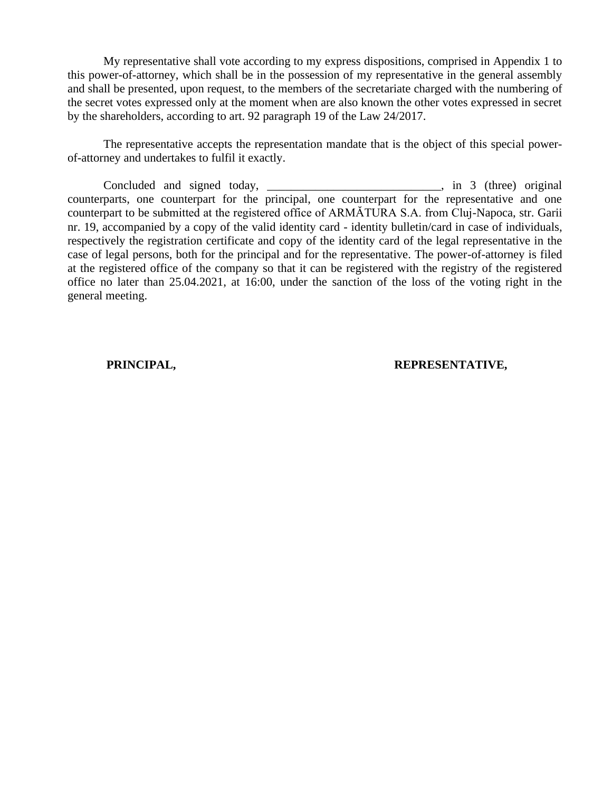My representative shall vote according to my express dispositions, comprised in Appendix 1 to this power-of-attorney, which shall be in the possession of my representative in the general assembly and shall be presented, upon request, to the members of the secretariate charged with the numbering of the secret votes expressed only at the moment when are also known the other votes expressed in secret by the shareholders, according to art. 92 paragraph 19 of the Law 24/2017.

The representative accepts the representation mandate that is the object of this special powerof-attorney and undertakes to fulfil it exactly.

Concluded and signed today, \_\_\_\_\_\_\_\_\_\_\_\_\_\_\_\_\_\_\_\_\_\_\_\_\_, in 3 (three) original counterparts, one counterpart for the principal, one counterpart for the representative and one counterpart to be submitted at the registered office of ARMĂTURA S.A. from Cluj-Napoca, str. Garii nr. 19, accompanied by a copy of the valid identity card - identity bulletin/card in case of individuals, respectively the registration certificate and copy of the identity card of the legal representative in the case of legal persons, both for the principal and for the representative. The power-of-attorney is filed at the registered office of the company so that it can be registered with the registry of the registered office no later than 25.04.2021, at 16:00, under the sanction of the loss of the voting right in the general meeting.

### **PRINCIPAL, REPRESENTATIVE,**